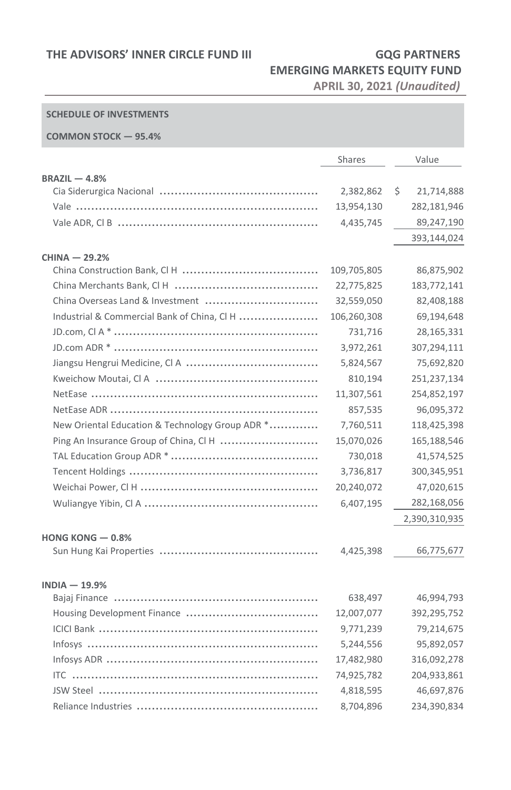# **EMERGING MARKETS EQUITY FUND**

**APRIL 30, 2021** *(Unaudited)*

### **SCHEDULE OF INVESTMENTS**

#### **COMMON STOCK — 95.4%**

|                                                 | Shares      | Value            |
|-------------------------------------------------|-------------|------------------|
| $BRAZIL - 4.8%$                                 |             |                  |
|                                                 | 2,382,862   | \$<br>21,714,888 |
|                                                 | 13,954,130  | 282,181,946      |
|                                                 | 4,435,745   | 89,247,190       |
|                                                 |             | 393,144,024      |
| $CHINA - 29.2%$                                 |             |                  |
|                                                 | 109,705,805 | 86,875,902       |
|                                                 | 22,775,825  | 183,772,141      |
| China Overseas Land & Investment                | 32,559,050  | 82,408,188       |
| Industrial & Commercial Bank of China, CI H     | 106,260,308 | 69,194,648       |
|                                                 | 731,716     | 28,165,331       |
|                                                 | 3,972,261   | 307,294,111      |
|                                                 | 5,824,567   | 75,692,820       |
|                                                 | 810,194     | 251,237,134      |
|                                                 | 11,307,561  | 254,852,197      |
|                                                 | 857,535     | 96,095,372       |
| New Oriental Education & Technology Group ADR * | 7,760,511   | 118,425,398      |
| Ping An Insurance Group of China, CI H          | 15,070,026  | 165,188,546      |
|                                                 | 730,018     | 41,574,525       |
|                                                 | 3,736,817   | 300,345,951      |
|                                                 | 20,240,072  | 47,020,615       |
|                                                 | 6,407,195   | 282,168,056      |
|                                                 |             | 2,390,310,935    |
| HONG KONG $-0.8\%$                              |             |                  |
|                                                 | 4,425,398   | 66,775,677       |
|                                                 |             |                  |
| $INDIA - 19.9%$                                 |             |                  |
|                                                 | 638,497     | 46,994,793       |
|                                                 | 12,007,077  | 392,295,752      |
|                                                 | 9,771,239   | 79,214,675       |
|                                                 | 5,244,556   | 95,892,057       |
|                                                 | 17,482,980  | 316,092,278      |
|                                                 | 74,925,782  | 204,933,861      |
|                                                 | 4,818,595   | 46,697,876       |
|                                                 | 8,704,896   | 234,390,834      |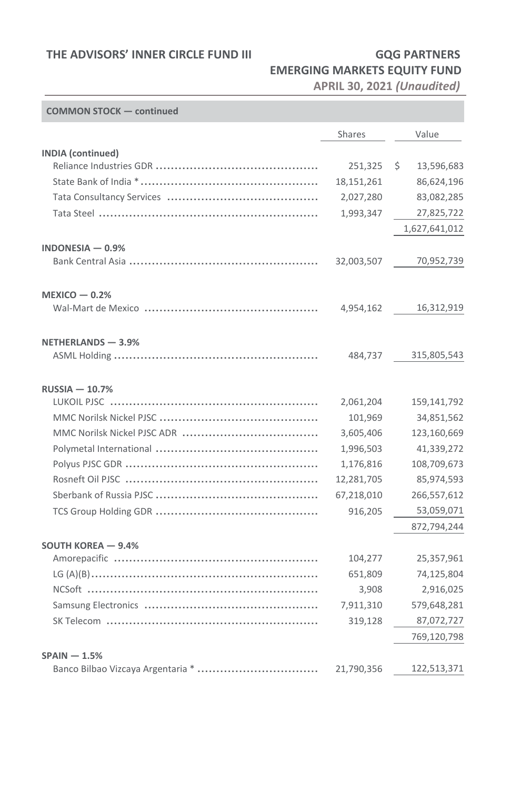### **THE ADVISORS' INNER CIRCLE FUND III GQG PARTNERS**

## **EMERGING MARKETS EQUITY FUND**

**APRIL 30, 2021** *(Unaudited)*

#### **COMMON STOCK — continued**

|                                   | Shares     | Value            |
|-----------------------------------|------------|------------------|
| <b>INDIA</b> (continued)          |            |                  |
|                                   | 251,325    | \$<br>13,596,683 |
|                                   | 18,151,261 | 86,624,196       |
|                                   | 2,027,280  | 83,082,285       |
|                                   | 1,993,347  | 27,825,722       |
|                                   |            | 1,627,641,012    |
| INDONESIA $-0.9%$                 |            |                  |
|                                   | 32,003,507 | 70,952,739       |
|                                   |            |                  |
| $MEXICO - 0.2%$                   |            |                  |
|                                   | 4,954,162  | 16,312,919       |
|                                   |            |                  |
| NETHERLANDS - 3.9%                |            |                  |
|                                   | 484,737    | 315,805,543      |
|                                   |            |                  |
| $RUSSIA - 10.7%$                  |            |                  |
|                                   | 2,061,204  | 159,141,792      |
|                                   | 101,969    | 34,851,562       |
|                                   | 3,605,406  | 123,160,669      |
|                                   | 1,996,503  | 41,339,272       |
|                                   | 1,176,816  | 108,709,673      |
|                                   | 12,281,705 | 85,974,593       |
|                                   | 67,218,010 | 266,557,612      |
|                                   | 916,205    | 53,059,071       |
|                                   |            | 872,794,244      |
| SOUTH KOREA - 9.4%                |            |                  |
|                                   | 104,277    | 25,357,961       |
|                                   | 651,809    | 74,125,804       |
|                                   | 3,908      | 2,916,025        |
|                                   | 7,911,310  | 579,648,281      |
|                                   | 319,128    | 87,072,727       |
|                                   |            | 769,120,798      |
| $SPAIN - 1.5%$                    |            |                  |
| Banco Bilbao Vizcaya Argentaria * | 21,790,356 | 122,513,371      |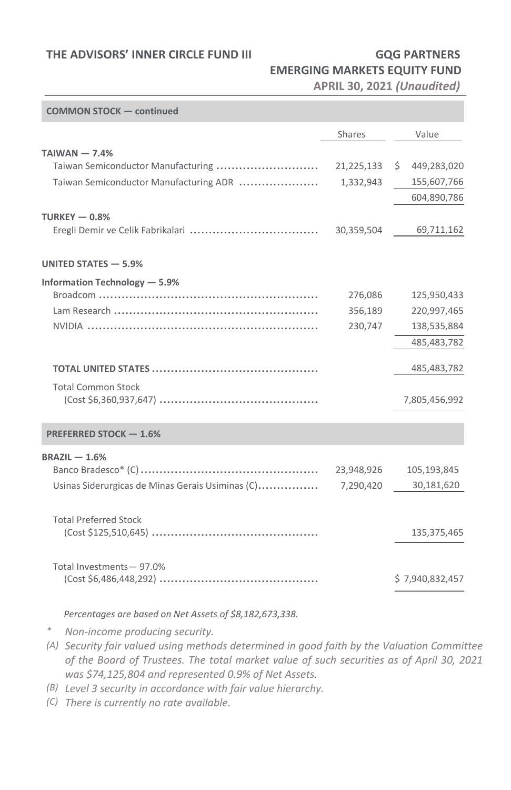### **THE ADVISORS' INNER CIRCLE FUND III GQG PARTNERS**

# **EMERGING MARKETS EQUITY FUND**

**APRIL 30, 2021** *(Unaudited)*

| <b>COMMON STOCK - continued</b>                  |            |                 |
|--------------------------------------------------|------------|-----------------|
|                                                  | Shares     | Value           |
| $TAIWAN - 7.4%$                                  |            |                 |
| Taiwan Semiconductor Manufacturing               | 21,225,133 | \$449,283,020   |
| Taiwan Semiconductor Manufacturing ADR           | 1,332,943  | 155,607,766     |
|                                                  |            | 604,890,786     |
| TURKEY $-0.8%$                                   |            |                 |
|                                                  | 30,359,504 | 69,711,162      |
| UNITED STATES - 5.9%                             |            |                 |
| Information Technology - 5.9%                    |            |                 |
|                                                  | 276,086    | 125,950,433     |
|                                                  | 356,189    | 220,997,465     |
|                                                  | 230,747    | 138,535,884     |
|                                                  |            | 485,483,782     |
|                                                  |            | 485,483,782     |
| <b>Total Common Stock</b>                        |            | 7,805,456,992   |
| PREFERRED STOCK - 1.6%                           |            |                 |
| $BRAZIL - 1.6%$                                  |            |                 |
|                                                  | 23,948,926 | 105,193,845     |
| Usinas Siderurgicas de Minas Gerais Usiminas (C) | 7,290,420  | 30,181,620      |
| <b>Total Preferred Stock</b>                     |            |                 |
|                                                  |            | 135,375,465     |
| Total Investments-97.0%                          |            |                 |
|                                                  |            | \$7,940,832,457 |

*Percentages are based on Net Assets of \$8,182,673,338.*

*\* Non-income producing security.*

- *(A) Security fair valued using methods determined in good faith by the Valuation Committee of the Board of Trustees. The total market value of such securities as of April 30, 2021 was \$74,125,804 and represented 0.9% of Net Assets.*
- *(B) Level 3 security in accordance with fair value hierarchy.*
- *(C) There is currently no rate available.*